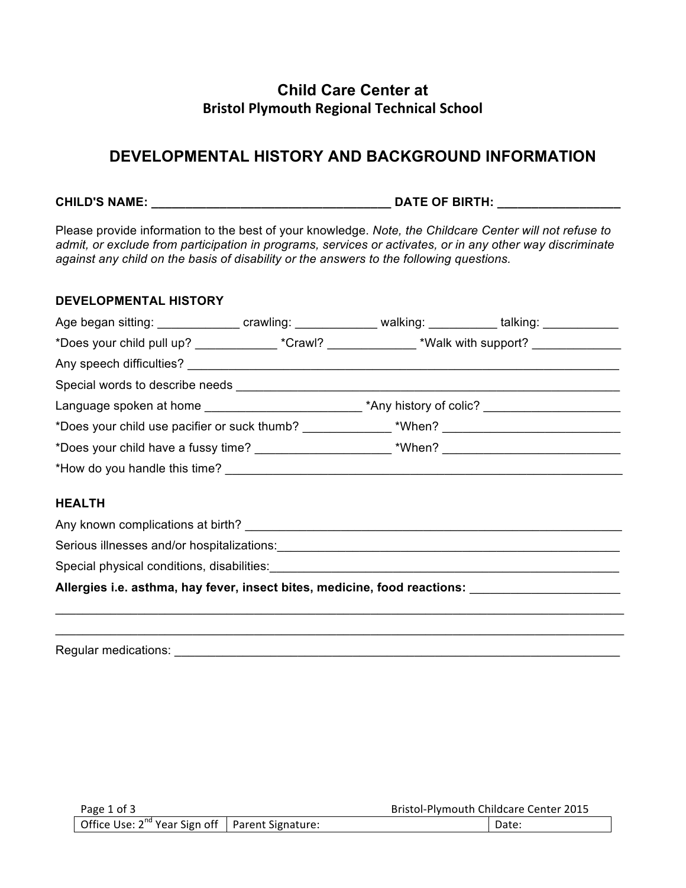## **Child Care Center at Bristol Plymouth Regional Technical School**

# **DEVELOPMENTAL HISTORY AND BACKGROUND INFORMATION**

**CHILD'S NAME: \_\_\_\_\_\_\_\_\_\_\_\_\_\_\_\_\_\_\_\_\_\_\_\_\_\_\_\_\_\_\_\_\_\_\_ DATE OF BIRTH: \_\_\_\_\_\_\_\_\_\_\_\_\_\_\_\_\_\_** 

Please provide information to the best of your knowledge. *Note, the Childcare Center will not refuse to admit, or exclude from participation in programs, services or activates, or in any other way discriminate against any child on the basis of disability or the answers to the following questions.*

## **DEVELOPMENTAL HISTORY**

| *Does your child pull up? _______________*Crawl? _______________*Walk with support? _______________  |  |  |  |  |  |  |  |
|------------------------------------------------------------------------------------------------------|--|--|--|--|--|--|--|
|                                                                                                      |  |  |  |  |  |  |  |
|                                                                                                      |  |  |  |  |  |  |  |
| Language spoken at home ____________________________*Any history of colic? _________________________ |  |  |  |  |  |  |  |
|                                                                                                      |  |  |  |  |  |  |  |
|                                                                                                      |  |  |  |  |  |  |  |
|                                                                                                      |  |  |  |  |  |  |  |
|                                                                                                      |  |  |  |  |  |  |  |
| <b>HEALTH</b>                                                                                        |  |  |  |  |  |  |  |
| Any known complications at birth?                                                                    |  |  |  |  |  |  |  |

\_\_\_\_\_\_\_\_\_\_\_\_\_\_\_\_\_\_\_\_\_\_\_\_\_\_\_\_\_\_\_\_\_\_\_\_\_\_\_\_\_\_\_\_\_\_\_\_\_\_\_\_\_\_\_\_\_\_\_\_\_\_\_\_\_\_\_\_\_\_\_\_\_\_\_\_\_\_\_\_\_\_\_ \_\_\_\_\_\_\_\_\_\_\_\_\_\_\_\_\_\_\_\_\_\_\_\_\_\_\_\_\_\_\_\_\_\_\_\_\_\_\_\_\_\_\_\_\_\_\_\_\_\_\_\_\_\_\_\_\_\_\_\_\_\_\_\_\_\_\_\_\_\_\_\_\_\_\_\_\_\_\_\_\_\_\_

Serious illnesses and/or hospitalizations:<br>
Serious illnesses and/or hospitalizations:<br>
Serious illnesses and/or hospitalizations:<br>
Serious illnesses and/or hospitalizations:

Special physical conditions, disabilities:

**Allergies i.e. asthma, hay fever, insect bites, medicine, food reactions:** \_\_\_\_\_\_\_\_\_\_\_\_\_\_\_\_\_\_\_\_\_\_

Regular medications: \_\_\_\_\_\_\_\_\_\_\_\_\_\_\_\_\_\_\_\_\_\_\_\_\_\_\_\_\_\_\_\_\_\_\_\_\_\_\_\_\_\_\_\_\_\_\_\_\_\_\_\_\_\_\_\_\_\_\_\_\_\_\_\_\_

| Page 1 of 3                                            |  | Bristol-Plymouth Childcare Center 2015 |  |
|--------------------------------------------------------|--|----------------------------------------|--|
| Office Use: $2^{nd}$ Year Sign off   Parent Signature: |  | Date:                                  |  |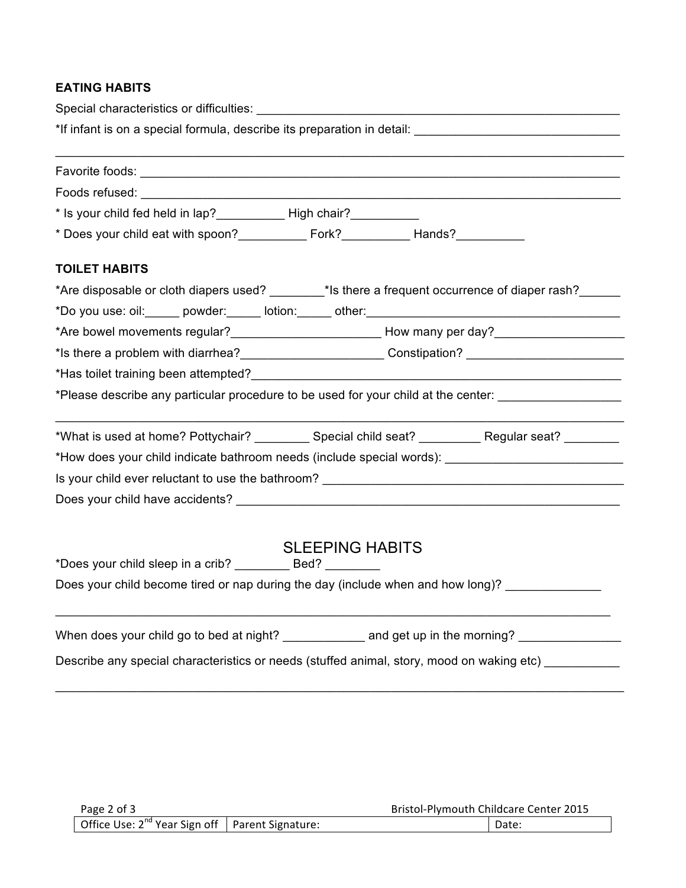## **EATING HABITS**

| Special characteristics or difficulties:<br>Special characteristics or difficulties:                           |  |  |  |  |  |  |
|----------------------------------------------------------------------------------------------------------------|--|--|--|--|--|--|
|                                                                                                                |  |  |  |  |  |  |
|                                                                                                                |  |  |  |  |  |  |
|                                                                                                                |  |  |  |  |  |  |
| * Is your child fed held in lap?______________ High chair?___________                                          |  |  |  |  |  |  |
|                                                                                                                |  |  |  |  |  |  |
| <b>TOILET HABITS</b>                                                                                           |  |  |  |  |  |  |
| *Are disposable or cloth diapers used? _______*Is there a frequent occurrence of diaper rash? _____            |  |  |  |  |  |  |
|                                                                                                                |  |  |  |  |  |  |
|                                                                                                                |  |  |  |  |  |  |
| *Is there a problem with diarrhea?____________________________Constipation? ______________________________     |  |  |  |  |  |  |
|                                                                                                                |  |  |  |  |  |  |
| *Please describe any particular procedure to be used for your child at the center: ___________________________ |  |  |  |  |  |  |
| *What is used at home? Pottychair? ___________ Special child seat? __________ Regular seat? ________           |  |  |  |  |  |  |
|                                                                                                                |  |  |  |  |  |  |
| Is your child ever reluctant to use the bathroom? _______________________________                              |  |  |  |  |  |  |
|                                                                                                                |  |  |  |  |  |  |
| <b>SLEEPING HABITS</b><br>*Does your child sleep in a crib? ___________ Bed? ________                          |  |  |  |  |  |  |
| Does your child become tired or nap during the day (include when and how long)? _______________                |  |  |  |  |  |  |
| When does your child go to bed at night? _______________ and get up in the morning? _______________            |  |  |  |  |  |  |
| Describe any special characteristics or needs (stuffed animal, story, mood on waking etc) ________             |  |  |  |  |  |  |

\_\_\_\_\_\_\_\_\_\_\_\_\_\_\_\_\_\_\_\_\_\_\_\_\_\_\_\_\_\_\_\_\_\_\_\_\_\_\_\_\_\_\_\_\_\_\_\_\_\_\_\_\_\_\_\_\_\_\_\_\_\_\_\_\_\_\_\_\_\_\_\_\_\_\_\_\_\_\_\_\_\_\_